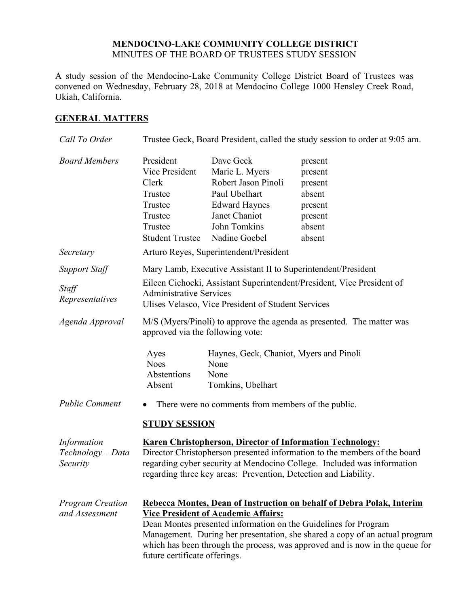## **MENDOCINO-LAKE COMMUNITY COLLEGE DISTRICT** MINUTES OF THE BOARD OF TRUSTEES STUDY SESSION

A study session of the Mendocino-Lake Community College District Board of Trustees was convened on Wednesday, February 28, 2018 at Mendocino College 1000 Hensley Creek Road, Ukiah, California.

## **GENERAL MATTERS**

| Call To Order                                | Trustee Geck, Board President, called the study session to order at 9:05 am.                                                                                                                                                                                                                                                                                                           |                                                                                                                                               |                                                                                   |
|----------------------------------------------|----------------------------------------------------------------------------------------------------------------------------------------------------------------------------------------------------------------------------------------------------------------------------------------------------------------------------------------------------------------------------------------|-----------------------------------------------------------------------------------------------------------------------------------------------|-----------------------------------------------------------------------------------|
| <b>Board Members</b>                         | President<br>Vice President<br>Clerk<br>Trustee<br>Trustee<br>Trustee<br>Trustee<br><b>Student Trustee</b>                                                                                                                                                                                                                                                                             | Dave Geck<br>Marie L. Myers<br>Robert Jason Pinoli<br>Paul Ubelhart<br><b>Edward Haynes</b><br>Janet Chaniot<br>John Tomkins<br>Nadine Goebel | present<br>present<br>present<br>absent<br>present<br>present<br>absent<br>absent |
| Secretary                                    | Arturo Reyes, Superintendent/President                                                                                                                                                                                                                                                                                                                                                 |                                                                                                                                               |                                                                                   |
| <b>Support Staff</b>                         | Mary Lamb, Executive Assistant II to Superintendent/President                                                                                                                                                                                                                                                                                                                          |                                                                                                                                               |                                                                                   |
| Staff<br>Representatives                     | Eileen Cichocki, Assistant Superintendent/President, Vice President of<br><b>Administrative Services</b><br>Ulises Velasco, Vice President of Student Services                                                                                                                                                                                                                         |                                                                                                                                               |                                                                                   |
| Agenda Approval                              | M/S (Myers/Pinoli) to approve the agenda as presented. The matter was<br>approved via the following vote:                                                                                                                                                                                                                                                                              |                                                                                                                                               |                                                                                   |
|                                              | Ayes<br><b>Noes</b><br>Abstentions<br>Absent                                                                                                                                                                                                                                                                                                                                           | Haynes, Geck, Chaniot, Myers and Pinoli<br>None<br>None<br>Tomkins, Ubelhart                                                                  |                                                                                   |
| <b>Public Comment</b>                        | There were no comments from members of the public.<br>$\bullet$<br><b>STUDY SESSION</b>                                                                                                                                                                                                                                                                                                |                                                                                                                                               |                                                                                   |
| Information<br>Technology – Data<br>Security | <b>Karen Christopherson, Director of Information Technology:</b><br>Director Christopherson presented information to the members of the board<br>regarding cyber security at Mendocino College. Included was information<br>regarding three key areas: Prevention, Detection and Liability.                                                                                            |                                                                                                                                               |                                                                                   |
| <b>Program Creation</b><br>and Assessment    | Rebecca Montes, Dean of Instruction on behalf of Debra Polak, Interim<br><b>Vice President of Academic Affairs:</b><br>Dean Montes presented information on the Guidelines for Program<br>Management. During her presentation, she shared a copy of an actual program<br>which has been through the process, was approved and is now in the queue for<br>future certificate offerings. |                                                                                                                                               |                                                                                   |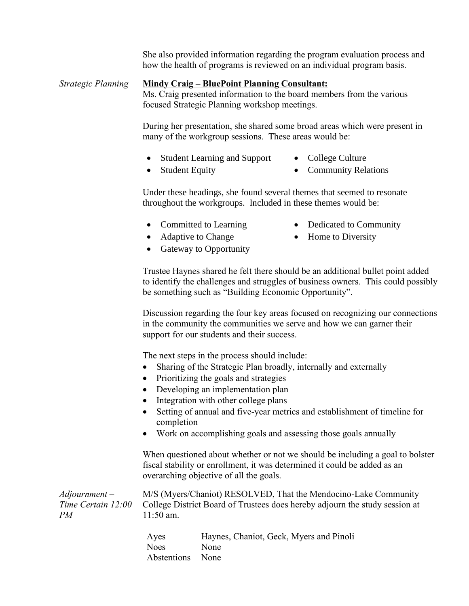She also provided information regarding the program evaluation process and how the health of programs is reviewed on an individual program basis.

## *Strategic Planning* **Mindy Craig – BluePoint Planning Consultant:**

Ms. Craig presented information to the board members from the various focused Strategic Planning workshop meetings.

During her presentation, she shared some broad areas which were present in many of the workgroup sessions. These areas would be:

- Student Learning and Support College Culture
	-
- 
- Student Equity Community Relations

Under these headings, she found several themes that seemed to resonate throughout the workgroups. Included in these themes would be:

- Committed to Learning Dedicated to Community
- Adaptive to Change Home to Diversity
- -
- Gateway to Opportunity

Trustee Haynes shared he felt there should be an additional bullet point added to identify the challenges and struggles of business owners. This could possibly be something such as "Building Economic Opportunity".

Discussion regarding the four key areas focused on recognizing our connections in the community the communities we serve and how we can garner their support for our students and their success.

The next steps in the process should include:

- Sharing of the Strategic Plan broadly, internally and externally
- Prioritizing the goals and strategies
- Developing an implementation plan
- Integration with other college plans
- Setting of annual and five-year metrics and establishment of timeline for completion
- Work on accomplishing goals and assessing those goals annually

When questioned about whether or not we should be including a goal to bolster fiscal stability or enrollment, it was determined it could be added as an overarching objective of all the goals.

*Adjournment – Time Certain 12:00 PM* M/S (Myers/Chaniot) RESOLVED, That the Mendocino-Lake Community College District Board of Trustees does hereby adjourn the study session at 11:50 am.

> Ayes Haynes, Chaniot, Geck, Myers and Pinoli Noes None Abstentions None